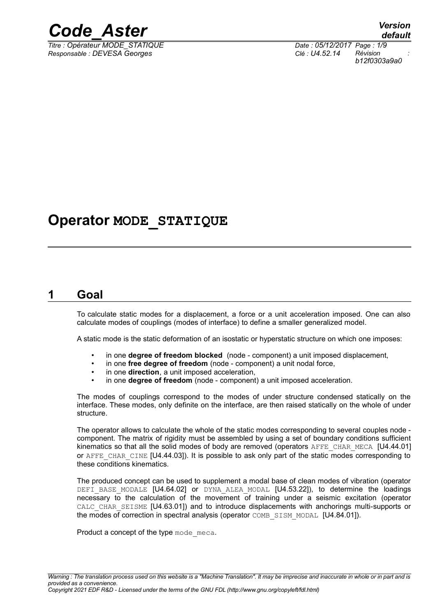

*Titre : Opérateur MODE\_STATIQUE Date : 05/12/2017 Page : 1/9 Responsable : DEVESA Georges Clé : U4.52.14 Révision :*

# **Operator MODE\_STATIQUE**

# **1 Goal**

<span id="page-0-0"></span>To calculate static modes for a displacement, a force or a unit acceleration imposed. One can also calculate modes of couplings (modes of interface) to define a smaller generalized model.

A static mode is the static deformation of an isostatic or hyperstatic structure on which one imposes:

- in one **degree of freedom blocked** (node component) a unit imposed displacement,
- in one **free degree of freedom** (node component) a unit nodal force,
- in one **direction**, a unit imposed acceleration,
- in one **degree of freedom** (node component) a unit imposed acceleration.

The modes of couplings correspond to the modes of under structure condensed statically on the interface. These modes, only definite on the interface, are then raised statically on the whole of under structure.

The operator allows to calculate the whole of the static modes corresponding to several couples node component. The matrix of rigidity must be assembled by using a set of boundary conditions sufficient kinematics so that all the solid modes of body are removed (operators AFFE\_CHAR\_MECA [U4.44.01] or AFFE\_CHAR\_CINE [U4.44.03]). It is possible to ask only part of the static modes corresponding to these conditions kinematics.

The produced concept can be used to supplement a modal base of clean modes of vibration (operator DEFI BASE MODALE [U4.64.02] or DYNA ALEA MODAL [U4.53.22]), to determine the loadings necessary to the calculation of the movement of training under a seismic excitation (operator CALC CHAR SEISME [U4.63.01]) and to introduce displacements with anchorings multi-supports or the modes of correction in spectral analysis (operator COMB SISM MODAL [U4.84.01]).

Product a concept of the type mode meca.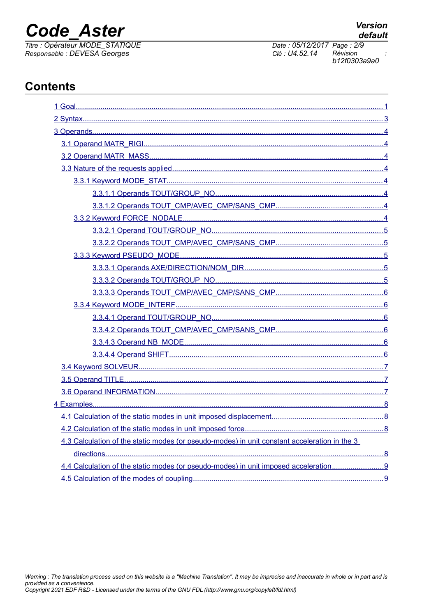# **Code Aster**

**Contents** 

Titre : Opérateur MODE\_STATIQUE<br>Responsable : DEVESA Georges

| 4.3 Calculation of the static modes (or pseudo-modes) in unit constant acceleration in the 3 |  |
|----------------------------------------------------------------------------------------------|--|
|                                                                                              |  |
| 4.4 Calculation of the static modes (or pseudo-modes) in unit imposed acceleration           |  |
|                                                                                              |  |

Date: 05/12/2017 Page: 2/9 Clé : U4.52.14 Révision b12f0303a9a0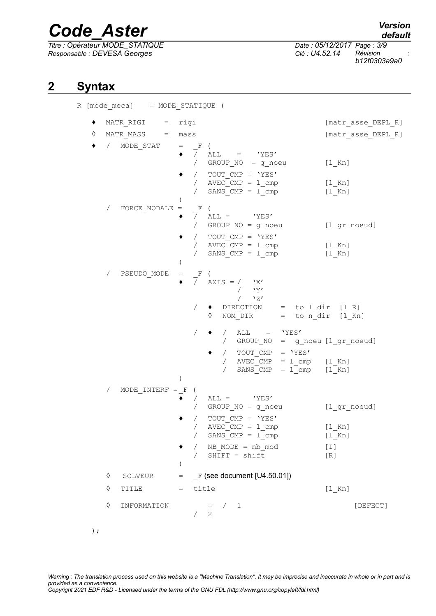*Titre : Opérateur MODE\_STATIQUE Date : 05/12/2017 Page : 3/9 Responsable : DEVESA Georges Clé : U4.52.14 Révision :*

*b12f0303a9a0*

# **2 Syntax**

<span id="page-2-0"></span>R [mode\_meca] = MODE\_STATIQUE (

| ٠      |            | MATR RIGI = rigi                  |                                                                                                                                                                                                                                                                                                                                                                                                                                 | [matr asse DEPL R]                                     |
|--------|------------|-----------------------------------|---------------------------------------------------------------------------------------------------------------------------------------------------------------------------------------------------------------------------------------------------------------------------------------------------------------------------------------------------------------------------------------------------------------------------------|--------------------------------------------------------|
| ♦<br>٠ |            | MATR $MASS = mass$<br>/ MODE STAT | $=$ F (<br>$\bullet$ $\overline{}/$ ALL = 'YES'<br>/ GROUP_NO = g_noeu<br>/ TOUT CMP = $'YES'$<br>/ $AVEC_CMP = 1_{cmp}$<br>SANS $CMP = 1$ cmp<br>$\sqrt{2}$                                                                                                                                                                                                                                                                    | [matr asse DEPL R]<br>$[1$ Kn]<br>$[1$ Kn]<br>$[1$ Kn] |
|        | $\sqrt{2}$ | FORCE NODALE $=$                  | $\lambda$<br>$F$ (<br>$\overline{7}$ ALL = 'YES'<br>/ GROUP_NO = g_noeu<br>/ TOUT CMP = 'YES'<br>/ $AVEC\_CMP = 1$ cmp $[1_Kn]$<br>$SANS_CMP = 1$ cmp                                                                                                                                                                                                                                                                           | [l_gr_noeud]<br>[1 Kn]                                 |
|        | $\sqrt{2}$ | PSEUDO MODE                       | $\mathbf{F}$<br>$=$<br>$\sqrt{2}$<br>$\overline{ }$<br>AXIS = $/$ 'X'<br>/ V'<br>$/$ $\sqrt{27}$<br>$\bullet$ DIRECTION = to l dir [1 R]<br>$\Diamond$ NOM DIR = to n dir [1 Kn]<br>/ ALL = $'YES'$<br>/ GROUP_NO = g_noeu [1_gr_noeud]<br>$\begin{array}{cccc} / & \text{TOUT\_CMP} & = & \text{YES'} \\ / & \text{AVEC\_CMP} & = & \text{1\_cmp} & [1\_Kn] \\ / & \text{SANS\_CMP} & = & \text{1\_cmp} & [1\_Kn] \end{array}$ |                                                        |
|        | $\sqrt{2}$ | $MODE_INTERF = F$                 | $ALL = \n\text{YES'}$<br>$\sqrt{2}$<br>/ GROUP NO = g noeu<br>/ TOUT CMP = $'YES'$<br>$AVEC$ $CMP = 1$ $cmp$<br>$\sqrt{2}$<br>$SANS_CMP = 1$ cmp<br>$\sqrt{2}$<br>NB_MODE = nb mod<br>$SHIFT = shift$<br>$\lambda$                                                                                                                                                                                                              | [l_gr_noeud]<br>$[1$ Kn]<br>$[1$ Kn]<br>$[1]$<br>[R]   |
|        | ♦          | SOLVEUR                           | $=$ F (see document [U4.50.01])                                                                                                                                                                                                                                                                                                                                                                                                 |                                                        |
|        | ♦          | TITLE                             | $=$ title                                                                                                                                                                                                                                                                                                                                                                                                                       | $[1$ Kn]                                               |
|        | ♦          | INFORMATION                       | $=$ $/$ 1<br>2<br>$\sqrt{2}$                                                                                                                                                                                                                                                                                                                                                                                                    | [DEFECT]                                               |

*Warning : The translation process used on this website is a "Machine Translation". It may be imprecise and inaccurate in whole or in part and is provided as a convenience. Copyright 2021 EDF R&D - Licensed under the terms of the GNU FDL (http://www.gnu.org/copyleft/fdl.html)*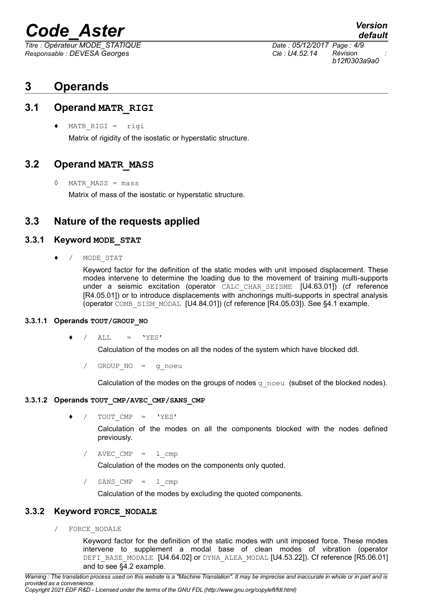*Responsable : DEVESA Georges Clé : U4.52.14 Révision :*

*Titre : Opérateur MODE\_STATIQUE Date : 05/12/2017 Page : 4/9 b12f0303a9a0*

# <span id="page-3-7"></span>**3 Operands**

### **3.1 Operand MATR\_RIGI**

<span id="page-3-6"></span>♦ MATR\_RIGI = rigi

Matrix of rigidity of the isostatic or hyperstatic structure.

### **3.2 Operand MATR\_MASS**

<span id="page-3-5"></span>◊ MATR\_MASS = mass

<span id="page-3-4"></span>Matrix of mass of the isostatic or hyperstatic structure.

### **3.3 Nature of the requests applied**

#### **3.3.1 Keyword MODE\_STAT**

<span id="page-3-3"></span>/ MODE STAT

Keyword factor for the definition of the static modes with unit imposed displacement. These modes intervene to determine the loading due to the movement of training multi-supports under a seismic excitation (operator CALC CHAR SEISME [U4.63.01]) (cf reference [R4.05.01]) or to introduce displacements with anchorings multi-supports in spectral analysis (operator COMB\_SISM\_MODAL [U4.84.01]) (cf reference [R4.05.03]). See §4.1 example.

#### **3.3.1.1 Operands TOUT/GROUP\_NO**

<span id="page-3-2"></span> $/$  ALL =  $'YES'$ 

Calculation of the modes on all the nodes of the system which have blocked ddl.

/ GROUP\_NO = g\_noeu

Calculation of the modes on the groups of nodes  $g_{\text{noeu}}$  (subset of the blocked nodes).

#### **3.3.1.2 Operands TOUT\_CMP/AVEC\_CMP/SANS\_CMP**

<span id="page-3-1"></span> $/$  TOUT CMP = 'YES'

Calculation of the modes on all the components blocked with the nodes defined previously.

 $AVEC$  CMP =  $l$  cmp

Calculation of the modes on the components only quoted.

 $SANS$   $CMP$  =  $l$   $cmp$ 

Calculation of the modes by excluding the quoted components.

#### **3.3.2 Keyword FORCE\_NODALE**

<span id="page-3-0"></span>/ FORCE\_NODALE

Keyword factor for the definition of the static modes with unit imposed force. These modes intervene to supplement a modal base of clean modes of vibration (operator DEFI BASE MODALE [U4.64.02] or DYNA ALEA MODAL [U4.53.22]). Cf reference [R5.06.01] and to see §4.2 example.

*Copyright 2021 EDF R&D - Licensed under the terms of the GNU FDL (http://www.gnu.org/copyleft/fdl.html)*

*default*

*Warning : The translation process used on this website is a "Machine Translation". It may be imprecise and inaccurate in whole or in part and is provided as a convenience.*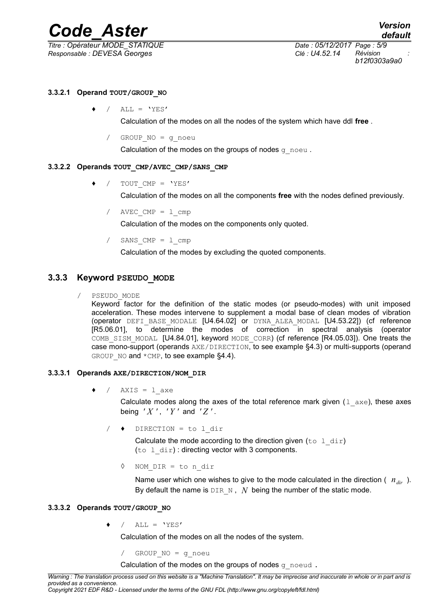*Titre : Opérateur MODE\_STATIQUE Date : 05/12/2017 Page : 5/9 Responsable : DEVESA Georges Clé : U4.52.14 Révision :*

*b12f0303a9a0*

#### **3.3.2.1 Operand TOUT/GROUP\_NO**

<span id="page-4-4"></span> $/$  ALL = 'YES'

Calculation of the modes on all the nodes of the system which have ddl **free** .

GROUP  $NO = g$  noeu

Calculation of the modes on the groups of nodes  $q$  noeu.

#### **3.3.2.2 Operands TOUT\_CMP/AVEC\_CMP/SANS\_CMP**

<span id="page-4-3"></span>♦ / TOUT\_CMP = 'YES'

Calculation of the modes on all the components **free** with the nodes defined previously.

/ AVEC CMP = 1 cmp

Calculation of the modes on the components only quoted.

SANS  $CMP = 1$  cmp

Calculation of the modes by excluding the quoted components.

### **3.3.3 Keyword PSEUDO\_MODE**

#### <span id="page-4-2"></span>/ PSEUDO\_MODE

Keyword factor for the definition of the static modes (or pseudo-modes) with unit imposed acceleration. These modes intervene to supplement a modal base of clean modes of vibration (operator DEFI\_BASE\_MODALE [U4.64.02] or DYNA\_ALEA\_MODAL [U4.53.22]) (cf reference [R5.06.01], to determine the modes of correction in spectral analysis (operator COMB SISM MODAL [U4.84.01], keyword MODE CORR) (cf reference [R4.05.03]). One treats the case mono-support (operands AXE/DIRECTION, to see example §4.3) or multi-supports (operand GROUP NO and  $*$ CMP, to see example §4.4).

#### **3.3.3.1 Operands AXE/DIRECTION/NOM\_DIR**

<span id="page-4-1"></span>/  $AXIS = 1$  axe

Calculate modes along the axes of the total reference mark given  $(1 - \alpha xe)$ , these axes being  $'X'$ ,  $'Y'$  and  $'Z'$ .

/ ♦ DIRECTION = to l\_dir

Calculate the mode according to the direction given (to  $1 \, \text{dir}$ ) (to  $l$  dir) : directing vector with 3 components.

◊ NOM\_DIR = to n\_dir

Name user which one wishes to give to the mode calculated in the direction ( *ndir* ). By default the name is  $DIR_N$ , *N* being the number of the static mode.

#### <span id="page-4-0"></span>**3.3.3.2 Operands TOUT/GROUP\_NO**

 $/$  ALL = 'YES'

Calculation of the modes on all the nodes of the system.

/ GROUP\_NO = g\_noeu

Calculation of the modes on the groups of nodes g\_noeud .

*Warning : The translation process used on this website is a "Machine Translation". It may be imprecise and inaccurate in whole or in part and is provided as a convenience.*

*Copyright 2021 EDF R&D - Licensed under the terms of the GNU FDL (http://www.gnu.org/copyleft/fdl.html)*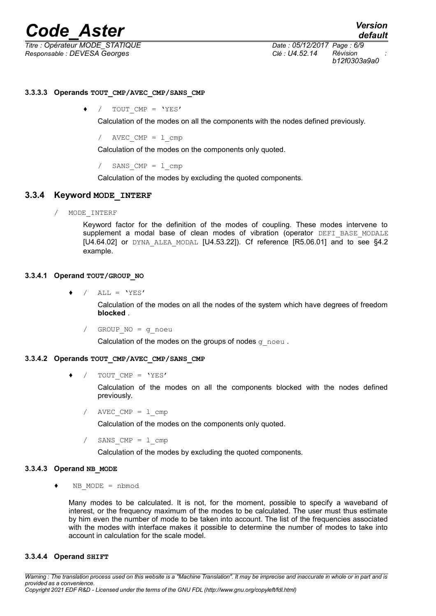# *Code*<br>*Confinering Aster Constanting Date : 05/12/2017 Page : 6/9*

*Titre : Opérateur MODE\_STATIQUE Date : 05/12/2017 Page : 6/9 Responsable : DEVESA Georges Clé : U4.52.14 Révision :*

*b12f0303a9a0*

#### <span id="page-5-5"></span>**3.3.3.3 Operands TOUT\_CMP/AVEC\_CMP/SANS\_CMP**

TOUT CMP =  $'YES'$ 

Calculation of the modes on all the components with the nodes defined previously.

/  $AVEC$  CMP =  $1$  cmp

Calculation of the modes on the components only quoted.

 $/$  SANS CMP = 1 cmp

Calculation of the modes by excluding the quoted components.

#### **3.3.4 Keyword MODE\_INTERF**

<span id="page-5-4"></span>/ MODE\_INTERF

Keyword factor for the definition of the modes of coupling. These modes intervene to supplement a modal base of clean modes of vibration (operator DEFI\_BASE\_MODALE [U4.64.02] or DYNA\_ALEA\_MODAL [U4.53.22]). Cf reference [R5.06.01] and to see §4.2 example.

#### **3.3.4.1 Operand TOUT/GROUP\_NO**

<span id="page-5-3"></span>/ ALL =  $'YES'$ 

Calculation of the modes on all the nodes of the system which have degrees of freedom **blocked** .

/ GROUP\_NO = g\_noeu

Calculation of the modes on the groups of nodes  $q$  noeu.

#### **3.3.4.2 Operands TOUT\_CMP/AVEC\_CMP/SANS\_CMP**

<span id="page-5-2"></span>/ TOUT CMP =  $'YES'$ 

Calculation of the modes on all the components blocked with the nodes defined previously.

 $AVEC$  CMP =  $1$  cmp

Calculation of the modes on the components only quoted.

```
SANS CMP = 1 cmp
```
Calculation of the modes by excluding the quoted components.

#### **3.3.4.3 Operand NB\_MODE**

<span id="page-5-1"></span>♦ NB\_MODE = nbmod

Many modes to be calculated. It is not, for the moment, possible to specify a waveband of interest, or the frequency maximum of the modes to be calculated. The user must thus estimate by him even the number of mode to be taken into account. The list of the frequencies associated with the modes with interface makes it possible to determine the number of modes to take into account in calculation for the scale model.

#### <span id="page-5-0"></span>**3.3.4.4 Operand SHIFT**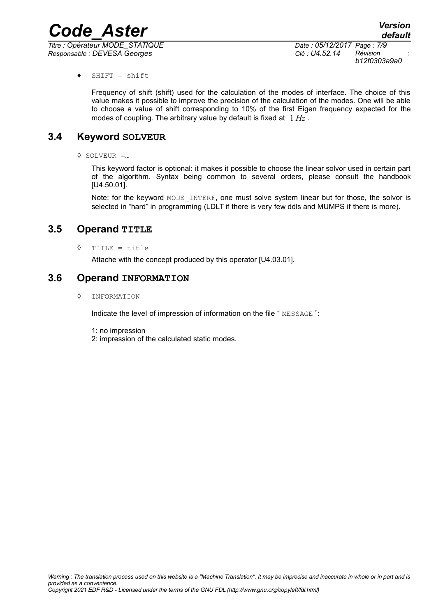*Titre : Opérateur MODE\_STATIQUE Date : 05/12/2017 Page : 7/9 Responsable : DEVESA Georges Clé : U4.52.14 Révision :*

*b12f0303a9a0*

♦ SHIFT = shift

Frequency of shift (shift) used for the calculation of the modes of interface. The choice of this value makes it possible to improve the precision of the calculation of the modes. One will be able to choose a value of shift corresponding to 10% of the first Eigen frequency expected for the modes of coupling. The arbitrary value by default is fixed at 1 *Hz* .

### **3.4 Keyword SOLVEUR**

<span id="page-6-2"></span>◊ SOLVEUR =…

This keyword factor is optional: it makes it possible to choose the linear solvor used in certain part of the algorithm. Syntax being common to several orders, please consult the handbook [U4.50.01].

Note: for the keyword MODE INTERF, one must solve system linear but for those, the solvor is selected in "hard" in programming (LDLT if there is very few ddls and MUMPS if there is more).

### **3.5 Operand TITLE**

<span id="page-6-1"></span>◊ TITLE = title

Attache with the concept produced by this operator [U4.03.01].

### **3.6 Operand INFORMATION**

<span id="page-6-0"></span>◊ INFORMATION

Indicate the level of impression of information on the file " MESSAGE ":

- 1: no impression
- 2: impression of the calculated static modes.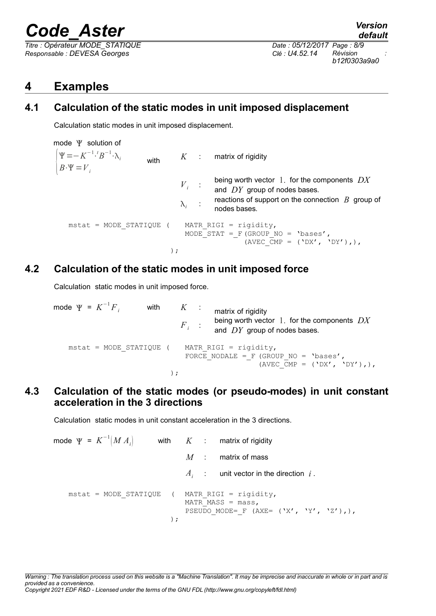*Titre : Opérateur MODE\_STATIQUE Date : 05/12/2017 Page : 8/9 Responsable : DEVESA Georges Clé : U4.52.14 Révision :*

*default b12f0303a9a0*

# <span id="page-7-3"></span>**4 Examples**

# **4.1 Calculation of the static modes in unit imposed displacement**

<span id="page-7-2"></span>Calculation static modes in unit imposed displacement.

mode  $\Psi$  solution of  $B \cdot \Psi = V_i$  $\Psi = -K^{-1} \cdot {}^{t}B^{-1} \cdot \lambda_i$ with  $K$  : matrix of rigidity *Vi* : being worth vector 1. for the components *DX* and *DY* group of nodes bases.  $\lambda_i$  : reactions of support on the connection *B* group of nodes bases.  $mstat = MODE STATIQUE$  ( MATR RIGI = rigidity, MODE STAT = F(GROUP NO = 'bases', (AVEC  $\overline{CMP} = (\overline{VDX}', \overline{VDY}'),$ ), );

# **4.2 Calculation of the static modes in unit imposed force**

<span id="page-7-1"></span>Calculation static modes in unit imposed force.

 $\textsf{mode} \ \Psi = K^{-1}$ with  $K$  : matrix of rigidity  $F_i$ : being worth vector 1. for the components *DX* and *DY* group of nodes bases.  $mstat = MODE STATIQUE$  ( MATR RIGI = rigidity, FORCE NODALE = F (GROUP NO = 'bases', (AVEC  $\overline{C}MP = (\prime DX', \prime DY'),$ ), );

# <span id="page-7-0"></span>**4.3 Calculation of the static modes (or pseudo-modes) in unit constant acceleration in the 3 directions**

Calculation static modes in unit constant acceleration in the 3 directions.

| mode $\Psi = K^{-1}(M A_i)$                              |  | with $K$ : matrix of rigidity                                      |
|----------------------------------------------------------|--|--------------------------------------------------------------------|
|                                                          |  | $M$ : matrix of mass                                               |
|                                                          |  | $A_i$ : unit vector in the direction i.                            |
| mstat = MODE STATIQUE ( MATR RIGI = rigidity,<br>$\cdot$ |  | MATR MASS = $mass$ ,<br>PSEUDO MODE= F (AXE= $(YX', YY', YZ'),$ ), |